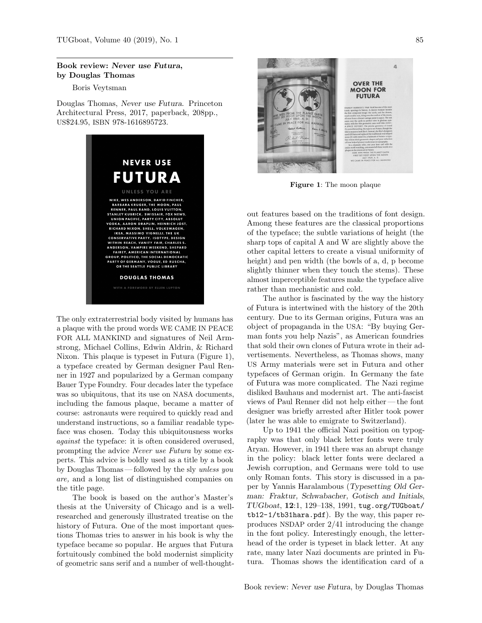## Book review: Never use Futura, by Douglas Thomas

Boris Veytsman

Douglas Thomas, Never use Futura. Princeton Architectural Press, 2017, paperback, 208pp., US\$24.95, ISBN 978-1616895723.



The only extraterrestrial body visited by humans has a plaque with the proud words WE CAME IN PEACE FOR ALL MANKIND and signatures of Neil Armstrong, Michael Collins, Edwin Aldrin, & Richard Nixon. This plaque is typeset in Futura (Figure [1\)](#page-0-0), a typeface created by German designer Paul Renner in 1927 and popularized by a German company Bauer Type Foundry. Four decades later the typeface was so ubiquitous, that its use on NASA documents, including the famous plaque, became a matter of course: astronauts were required to quickly read and understand instructions, so a familiar readable typeface was chosen. Today this ubiquitousness works against the typeface: it is often considered overused, prompting the advice Never use Futura by some experts. This advice is boldly used as a title by a book by Douglas Thomas — followed by the sly unless you are, and a long list of distinguished companies on the title page.

The book is based on the author's Master's thesis at the University of Chicago and is a wellresearched and generously illustrated treatise on the history of Futura. One of the most important questions Thomas tries to answer in his book is why the typeface became so popular. He argues that Futura fortuitously combined the bold modernist simplicity of geometric sans serif and a number of well-thought-



Figure 1: The moon plaque

<span id="page-0-0"></span>out features based on the traditions of font design. Among these features are the classical proportions of the typeface; the subtle variations of height (the sharp tops of capital A and W are slightly above the other capital letters to create a visual uniformity of height) and pen width (the bowls of a, d, p become slightly thinner when they touch the stems). These almost imperceptible features make the typeface alive rather than mechanistic and cold.

The author is fascinated by the way the history of Futura is intertwined with the history of the 20th century. Due to its German origins, Futura was an object of propaganda in the USA: "By buying German fonts you help Nazis", as American foundries that sold their own clones of Futura wrote in their advertisements. Nevertheless, as Thomas shows, many US Army materials were set in Futura and other typefaces of German origin. In Germany the fate of Futura was more complicated. The Nazi regime disliked Bauhaus and modernist art. The anti-fascist views of Paul Renner did not help either — the font designer was briefly arrested after Hitler took power (later he was able to emigrate to Switzerland).

Up to 1941 the official Nazi position on typography was that only black letter fonts were truly Aryan. However, in 1941 there was an abrupt change in the policy: black letter fonts were declared a Jewish corruption, and Germans were told to use only Roman fonts. This story is discussed in a paper by Yannis Haralambous (Typesetting Old German: Fraktur, Schwabacher, Gotisch and Initials,  $TUGboat$ ,  $12:1$ ,  $129-138$ ,  $1991$ , [tug.org/TUGboat/](tug.org/TUGboat/tb12-1/tb31hara.pdf) [tb12-1/tb31hara.pdf](tug.org/TUGboat/tb12-1/tb31hara.pdf)). By the way, this paper reproduces NSDAP order 2/41 introducing the change in the font policy. Interestingly enough, the letterhead of the order is typeset in black letter. At any rate, many later Nazi documents are printed in Futura. Thomas shows the identification card of a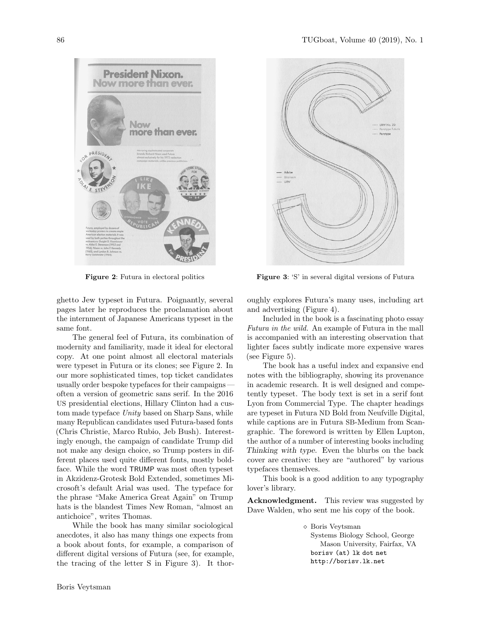

<span id="page-1-0"></span>Figure 2: Futura in electoral politics

ghetto Jew typeset in Futura. Poignantly, several pages later he reproduces the proclamation about the internment of Japanese Americans typeset in the same font.

The general feel of Futura, its combination of modernity and familiarity, made it ideal for electoral copy. At one point almost all electoral materials were typeset in Futura or its clones; see Figure [2.](#page-1-0) In our more sophisticated times, top ticket candidates usually order bespoke typefaces for their campaigns often a version of geometric sans serif. In the 2016 US presidential elections, Hillary Clinton had a custom made typeface Unity based on Sharp Sans, while many Republican candidates used Futura-based fonts (Chris Christie, Marco Rubio, Jeb Bush). Interestingly enough, the campaign of candidate Trump did not make any design choice, so Trump posters in different places used quite different fonts, mostly boldface. While the word TRUMP was most often typeset in Akzidenz-Grotesk Bold Extended, sometimes Microsoft's default Arial was used. The typeface for the phrase "Make America Great Again" on Trump hats is the blandest Times New Roman, "almost an antichoice", writes Thomas.

While the book has many similar sociological anecdotes, it also has many things one expects from a book about fonts, for example, a comparison of different digital versions of Futura (see, for example, the tracing of the letter S in Figure [3\)](#page-1-1). It thor-



<span id="page-1-1"></span>Figure 3: 'S' in several digital versions of Futura

oughly explores Futura's many uses, including art and advertising (Figure [4\)](#page-2-0).

Included in the book is a fascinating photo essay Futura in the wild. An example of Futura in the mall is accompanied with an interesting observation that lighter faces subtly indicate more expensive wares (see Figure [5\)](#page-2-1).

The book has a useful index and expansive end notes with the bibliography, showing its provenance in academic research. It is well designed and competently typeset. The body text is set in a serif font Lyon from Commercial Type. The chapter headings are typeset in Futura ND Bold from Neufville Digital, while captions are in Futura SB-Medium from Scangraphic. The foreword is written by Ellen Lupton, the author of a number of interesting books including Thinking with type. Even the blurbs on the back cover are creative: they are "authored" by various typefaces themselves.

This book is a good addition to any typography lover's library.

Acknowledgment. This review was suggested by Dave Walden, who sent me his copy of the book.

> Boris Veytsman Systems Biology School, George Mason University, Fairfax, VA borisv (at) lk dot net http://borisv.lk.net